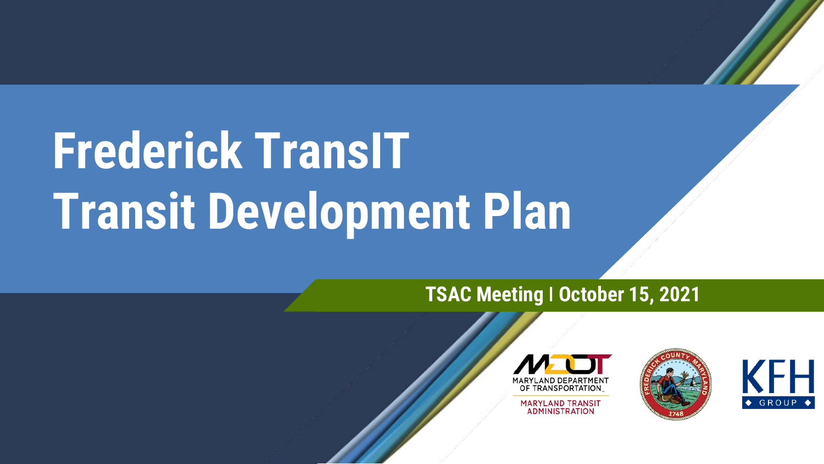# **Frederick TransIT Transit Development Plan**

#### **TSAC Meeting ǀ October 15, 2021**



**MARYLAND TRANSIT ADMINISTRATION** 



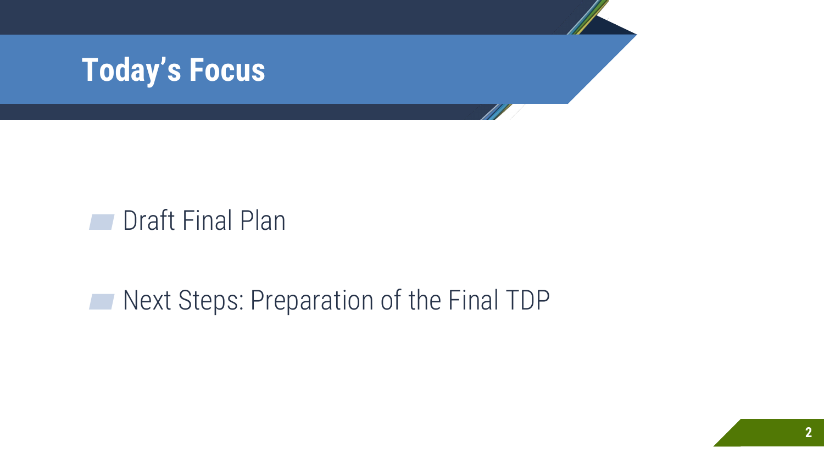

#### **■** Draft Final Plan

#### ■ Next Steps: Preparation of the Final TDP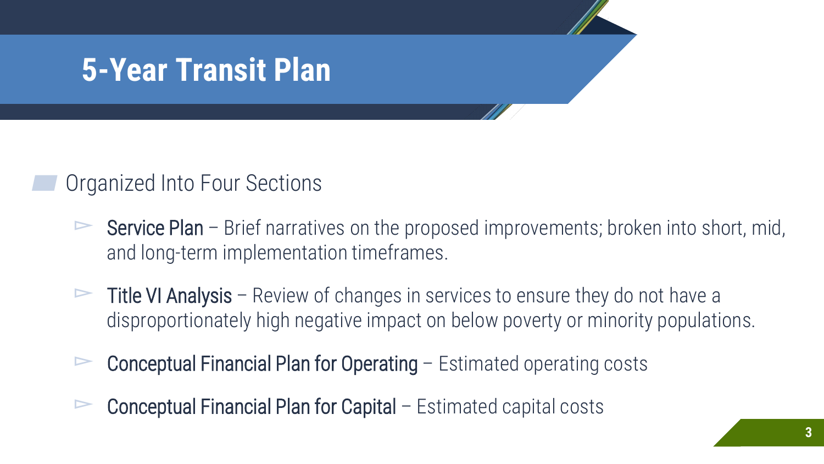#### **5-Year Transit Plan**

#### Organized Into Four Sections

- Service Plan Brief narratives on the proposed improvements; broken into short, mid, and long-term implementation timeframes.
- $\triangleright$  Title VI Analysis Review of changes in services to ensure they do not have a disproportionately high negative impact on below poverty or minority populations.
- ▻ Conceptual Financial Plan for Operating Estimated operating costs
- ▻ Conceptual Financial Plan for Capital Estimated capital costs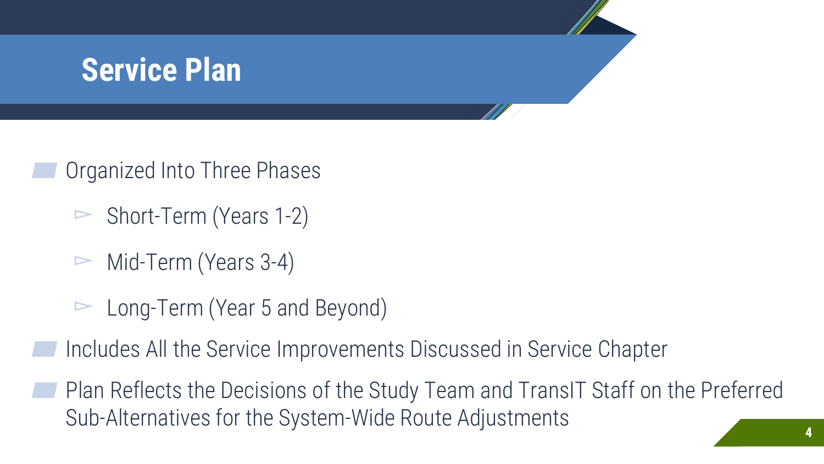# **Service Plan**

Organized Into Three Phases

- $\triangleright$  Short-Term (Years 1-2)
- $\triangleright$  Mid-Term (Years 3-4)
- ▻ Long-Term (Year 5 and Beyond)

▰ Includes All the Service Improvements Discussed in Service Chapter

▰ Plan Reflects the Decisions of the Study Team and TransIT Staff on the Preferred Sub-Alternatives for the System-Wide Route Adjustments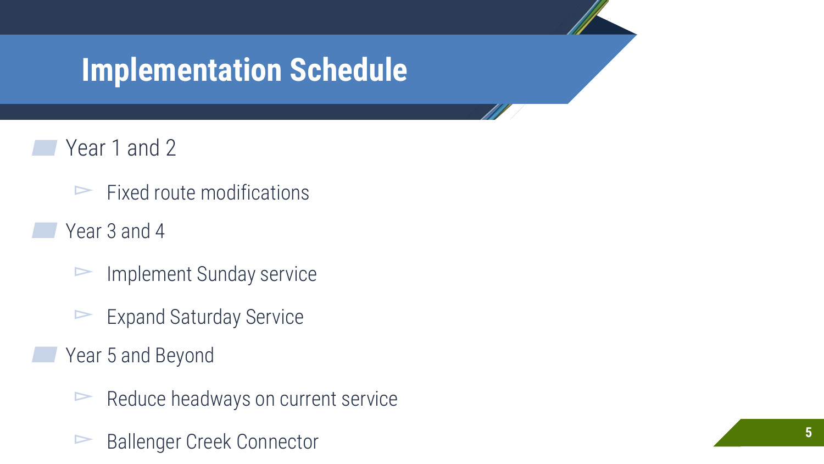### **Implementation Schedule**

- Year 1 and 2
	- $\blacktriangleright$  Fixed route modifications
	- Year 3 and 4
		- ▻ Implement Sunday service
		- $\blacktriangleright$  Expand Saturday Service
	- Year 5 and Beyond
		- $\blacktriangleright$  Reduce headways on current service
		- ▻ Ballenger Creek Connector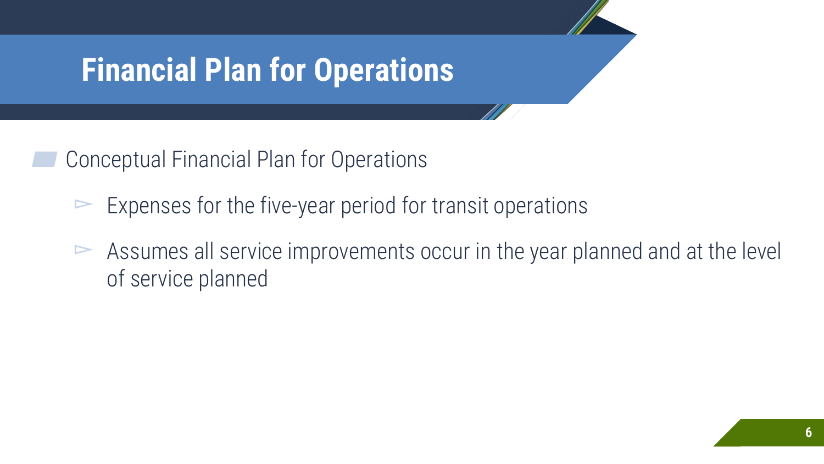## **Financial Plan for Operations**

▰ Conceptual Financial Plan for Operations

- $\blacktriangleright$  Expenses for the five-year period for transit operations
- $\triangleright$  Assumes all service improvements occur in the year planned and at the level of service planned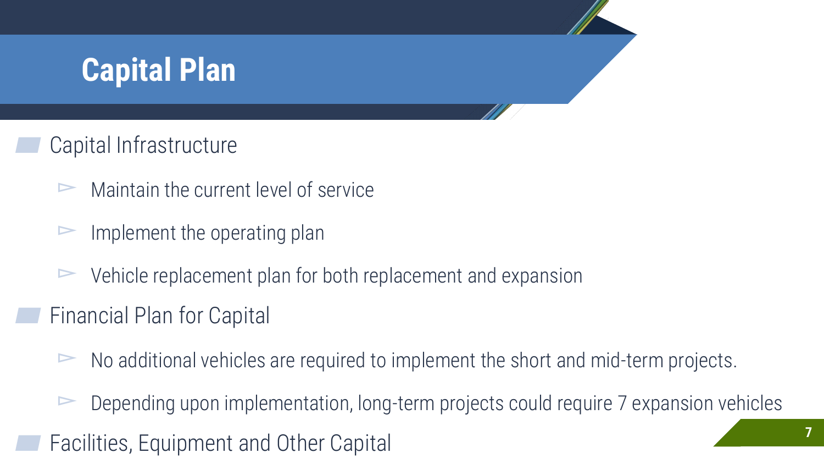# **Capital Plan**

#### Capital Infrastructure

- $\triangleright$  Maintain the current level of service
- Implement the operating plan
- $\triangleright$  Vehicle replacement plan for both replacement and expansion
- ▰ Financial Plan for Capital
	- $\triangleright$  No additional vehicles are required to implement the short and mid-term projects.
- $\triangleright$  Depending upon implementation, long-term projects could require 7 expansion vehicles Facilities, Equipment and Other Capital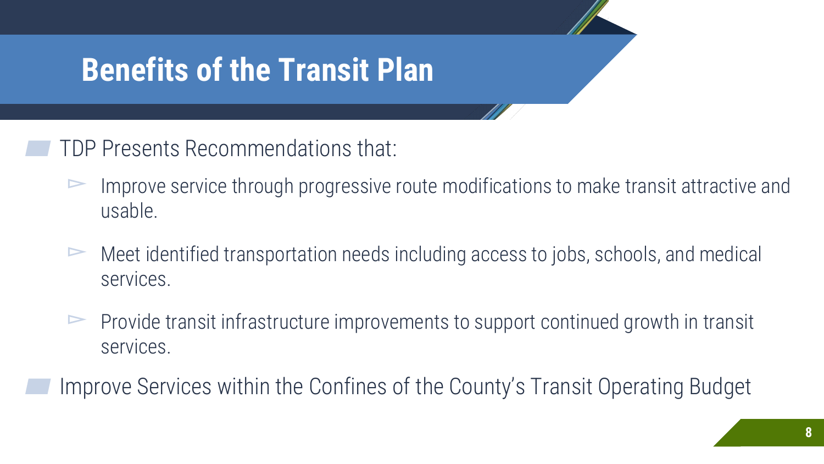## **Benefits of the Transit Plan**

▰ TDP Presents Recommendations that:

- ▻ Improve service through progressive route modifications to make transit attractive and usable.
- ▻ Meet identified transportation needs including access to jobs, schools, and medical services.
- ▻ Provide transit infrastructure improvements to support continued growth in transit services.

Improve Services within the Confines of the County's Transit Operating Budget